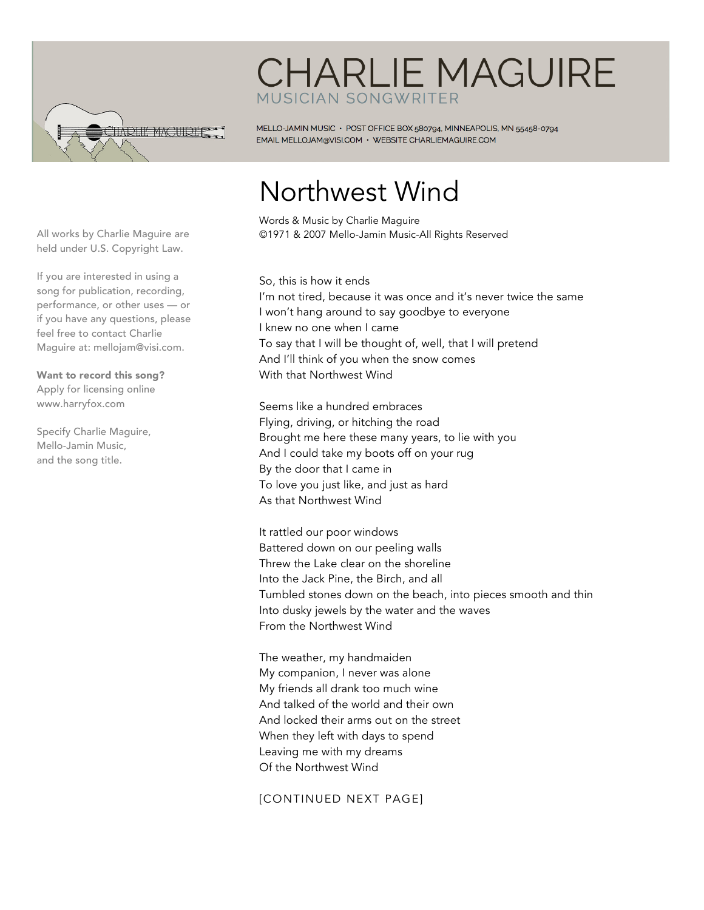

## **CHARLIE MAGUIRE** MUSICIAN SONGWRITER

MELLO-JAMIN MUSIC · POST OFFICE BOX 580794, MINNEAPOLIS, MN 55458-0794 EMAIL MELLOJAM@VISI.COM · WEBSITE CHARLIEMAGUIRE.COM

## Northwest Wind

Words & Music by Charlie Maguire ©1971 & 2007 Mello-Jamin Music-All Rights Reserved

So, this is how it ends I'm not tired, because it was once and it's never twice the same I won't hang around to say goodbye to everyone I knew no one when I came To say that I will be thought of, well, that I will pretend And I'll think of you when the snow comes With that Northwest Wind

Seems like a hundred embraces Flying, driving, or hitching the road Brought me here these many years, to lie with you And I could take my boots off on your rug By the door that I came in To love you just like, and just as hard As that Northwest Wind

It rattled our poor windows Battered down on our peeling walls Threw the Lake clear on the shoreline Into the Jack Pine, the Birch, and all Tumbled stones down on the beach, into pieces smooth and thin Into dusky jewels by the water and the waves From the Northwest Wind

The weather, my handmaiden My companion, I never was alone My friends all drank too much wine And talked of the world and their own And locked their arms out on the street When they left with days to spend Leaving me with my dreams Of the Northwest Wind

## [CONTINUED NEXT PAGE]

All works by Charlie Maguire are held under U.S. Copyright Law.

If you are interested in using a song for publication, recording, performance, or other uses — or if you have any questions, please feel free to contact Charlie Maguire at: mellojam@visi.com.

Want to record this song? Apply for licensing online www.harryfox.com

Specify Charlie Maguire, Mello-Jamin Music, and the song title.